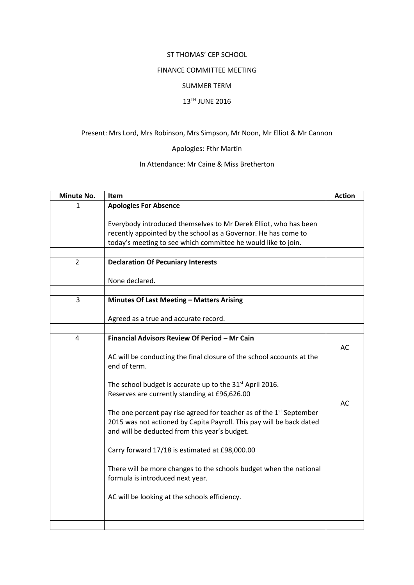#### ST THOMAS' CEP SCHOOL

### FINANCE COMMITTEE MEETING

#### SUMMER TERM

# 13TH JUNE 2016

# Present: Mrs Lord, Mrs Robinson, Mrs Simpson, Mr Noon, Mr Elliot & Mr Cannon

### Apologies: Fthr Martin

# In Attendance: Mr Caine & Miss Bretherton

| Minute No.     | <b>Item</b>                                                                     | <b>Action</b> |
|----------------|---------------------------------------------------------------------------------|---------------|
| 1              | <b>Apologies For Absence</b>                                                    |               |
|                |                                                                                 |               |
|                | Everybody introduced themselves to Mr Derek Elliot, who has been                |               |
|                | recently appointed by the school as a Governor. He has come to                  |               |
|                | today's meeting to see which committee he would like to join.                   |               |
|                |                                                                                 |               |
| $\overline{2}$ | <b>Declaration Of Pecuniary Interests</b>                                       |               |
|                |                                                                                 |               |
|                | None declared.                                                                  |               |
| 3              |                                                                                 |               |
|                | Minutes Of Last Meeting - Matters Arising                                       |               |
|                | Agreed as a true and accurate record.                                           |               |
|                |                                                                                 |               |
| 4              | Financial Advisors Review Of Period - Mr Cain                                   |               |
|                |                                                                                 | AC            |
|                | AC will be conducting the final closure of the school accounts at the           |               |
|                | end of term.                                                                    |               |
|                |                                                                                 |               |
|                | The school budget is accurate up to the 31 <sup>st</sup> April 2016.            |               |
|                | Reserves are currently standing at £96,626.00                                   |               |
|                |                                                                                 | AC            |
|                | The one percent pay rise agreed for teacher as of the 1 <sup>st</sup> September |               |
|                | 2015 was not actioned by Capita Payroll. This pay will be back dated            |               |
|                | and will be deducted from this year's budget.                                   |               |
|                |                                                                                 |               |
|                | Carry forward 17/18 is estimated at £98,000.00                                  |               |
|                | There will be more changes to the schools budget when the national              |               |
|                | formula is introduced next year.                                                |               |
|                |                                                                                 |               |
|                | AC will be looking at the schools efficiency.                                   |               |
|                |                                                                                 |               |
|                |                                                                                 |               |
|                |                                                                                 |               |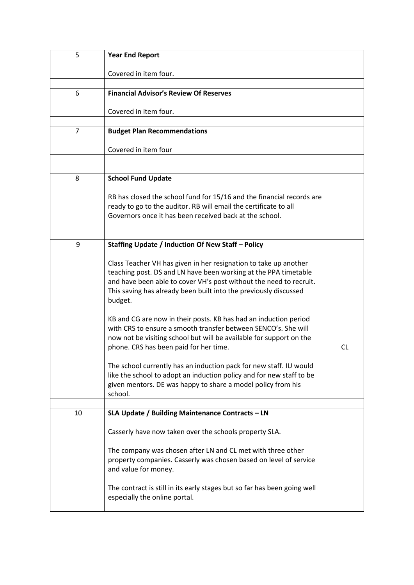| 5              | <b>Year End Report</b>                                                                                    |    |
|----------------|-----------------------------------------------------------------------------------------------------------|----|
|                | Covered in item four.                                                                                     |    |
|                |                                                                                                           |    |
| 6              | <b>Financial Advisor's Review Of Reserves</b>                                                             |    |
|                |                                                                                                           |    |
|                | Covered in item four.                                                                                     |    |
| $\overline{7}$ | <b>Budget Plan Recommendations</b>                                                                        |    |
|                |                                                                                                           |    |
|                | Covered in item four                                                                                      |    |
|                |                                                                                                           |    |
| 8              | <b>School Fund Update</b>                                                                                 |    |
|                |                                                                                                           |    |
|                | RB has closed the school fund for 15/16 and the financial records are                                     |    |
|                | ready to go to the auditor. RB will email the certificate to all                                          |    |
|                | Governors once it has been received back at the school.                                                   |    |
|                |                                                                                                           |    |
|                |                                                                                                           |    |
| 9              | Staffing Update / Induction Of New Staff - Policy                                                         |    |
|                | Class Teacher VH has given in her resignation to take up another                                          |    |
|                | teaching post. DS and LN have been working at the PPA timetable                                           |    |
|                | and have been able to cover VH's post without the need to recruit.                                        |    |
|                | This saving has already been built into the previously discussed                                          |    |
|                | budget.                                                                                                   |    |
|                |                                                                                                           |    |
|                | KB and CG are now in their posts. KB has had an induction period                                          |    |
|                | with CRS to ensure a smooth transfer between SENCO's. She will                                            |    |
|                | now not be visiting school but will be available for support on the                                       |    |
|                | phone. CRS has been paid for her time.                                                                    | CL |
|                | The school currently has an induction pack for new staff. IU would                                        |    |
|                | like the school to adopt an induction policy and for new staff to be                                      |    |
|                | given mentors. DE was happy to share a model policy from his                                              |    |
|                | school.                                                                                                   |    |
|                |                                                                                                           |    |
| 10             | SLA Update / Building Maintenance Contracts - LN                                                          |    |
|                | Casserly have now taken over the schools property SLA.                                                    |    |
|                |                                                                                                           |    |
|                | The company was chosen after LN and CL met with three other                                               |    |
|                | property companies. Casserly was chosen based on level of service                                         |    |
|                | and value for money.                                                                                      |    |
|                |                                                                                                           |    |
|                | The contract is still in its early stages but so far has been going well<br>especially the online portal. |    |
|                |                                                                                                           |    |
|                |                                                                                                           |    |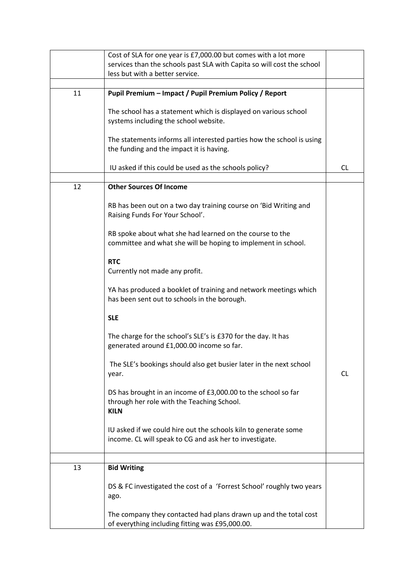|    | Cost of SLA for one year is £7,000.00 but comes with a lot more        |           |
|----|------------------------------------------------------------------------|-----------|
|    | services than the schools past SLA with Capita so will cost the school |           |
|    | less but with a better service.                                        |           |
|    |                                                                        |           |
| 11 | Pupil Premium - Impact / Pupil Premium Policy / Report                 |           |
|    |                                                                        |           |
|    | The school has a statement which is displayed on various school        |           |
|    | systems including the school website.                                  |           |
|    |                                                                        |           |
|    |                                                                        |           |
|    | The statements informs all interested parties how the school is using  |           |
|    | the funding and the impact it is having.                               |           |
|    |                                                                        |           |
|    | IU asked if this could be used as the schools policy?                  | <b>CL</b> |
|    |                                                                        |           |
| 12 | <b>Other Sources Of Income</b>                                         |           |
|    |                                                                        |           |
|    | RB has been out on a two day training course on 'Bid Writing and       |           |
|    | Raising Funds For Your School'.                                        |           |
|    |                                                                        |           |
|    | RB spoke about what she had learned on the course to the               |           |
|    | committee and what she will be hoping to implement in school.          |           |
|    |                                                                        |           |
|    | <b>RTC</b>                                                             |           |
|    | Currently not made any profit.                                         |           |
|    |                                                                        |           |
|    | YA has produced a booklet of training and network meetings which       |           |
|    | has been sent out to schools in the borough.                           |           |
|    |                                                                        |           |
|    | <b>SLE</b>                                                             |           |
|    |                                                                        |           |
|    | The charge for the school's SLE's is £370 for the day. It has          |           |
|    | generated around £1,000.00 income so far.                              |           |
|    |                                                                        |           |
|    | The SLE's bookings should also get busier later in the next school     |           |
|    | year.                                                                  | <b>CL</b> |
|    |                                                                        |           |
|    | DS has brought in an income of £3,000.00 to the school so far          |           |
|    | through her role with the Teaching School.                             |           |
|    | <b>KILN</b>                                                            |           |
|    |                                                                        |           |
|    | IU asked if we could hire out the schools kiln to generate some        |           |
|    | income. CL will speak to CG and ask her to investigate.                |           |
|    |                                                                        |           |
|    |                                                                        |           |
| 13 | <b>Bid Writing</b>                                                     |           |
|    |                                                                        |           |
|    | DS & FC investigated the cost of a 'Forrest School' roughly two years  |           |
|    | ago.                                                                   |           |
|    |                                                                        |           |
|    | The company they contacted had plans drawn up and the total cost       |           |
|    |                                                                        |           |
|    | of everything including fitting was £95,000.00.                        |           |